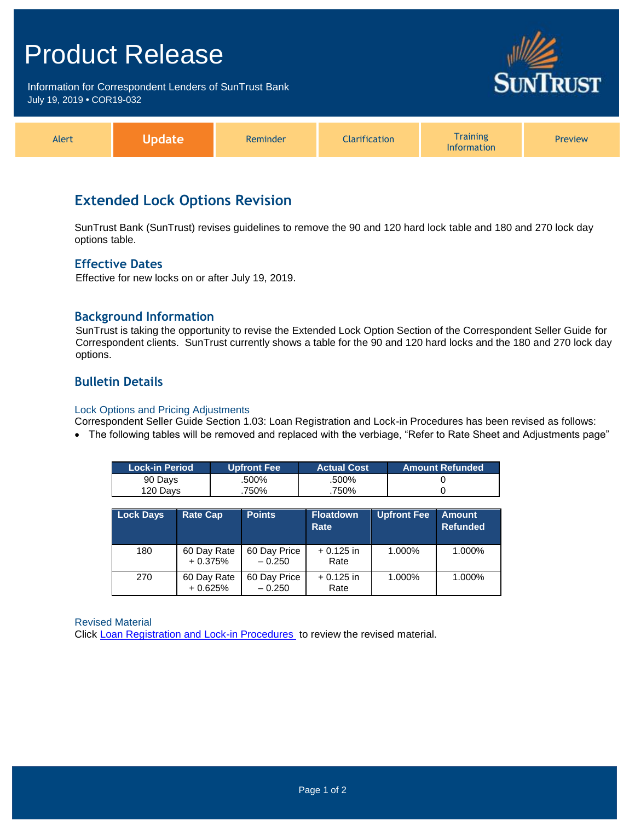## Product Release

Information for Correspondent Lenders of SunTrust Bank July 19, 2019 **•** COR19-032



| Alert | uuc | Reminder | <b>Clarification</b> | Training<br>Information | <b>Preview</b> |
|-------|-----|----------|----------------------|-------------------------|----------------|
|-------|-----|----------|----------------------|-------------------------|----------------|

### **Extended Lock Options Revision**

SunTrust Bank (SunTrust) revises guidelines to remove the 90 and 120 hard lock table and 180 and 270 lock day options table.

#### **Effective Dates**

Effective for new locks on or after July 19, 2019.

#### **Background Information**

SunTrust is taking the opportunity to revise the Extended Lock Option Section of the Correspondent Seller Guide for Correspondent clients. SunTrust currently shows a table for the 90 and 120 hard locks and the 180 and 270 lock day options.

### **Bulletin Details**

#### Lock Options and Pricing Adjustments

- Correspondent Seller Guide Section 1.03: Loan Registration and Lock-in Procedures has been revised as follows:
- The following tables will be removed and replaced with the verbiage, "Refer to Rate Sheet and Adjustments page"

| <b>Lock-in Period</b> | <b>Upfront Fee</b> ' | <b>Actual Cost</b> | <b>Amount Refunded</b> |
|-----------------------|----------------------|--------------------|------------------------|
| 90 Davs               | .500%                | .500%              |                        |
| 120 Davs              | 750%                 | 750%               |                        |

| <b>Lock Days</b> | <b>Rate Cap</b>          | <b>Points</b>            | <b>Floatdown</b><br>Rate | <b>Upfront Fee</b> | <b>Amount</b><br><b>Refunded</b> |
|------------------|--------------------------|--------------------------|--------------------------|--------------------|----------------------------------|
| 180              | 60 Day Rate<br>$+0.375%$ | 60 Day Price<br>$-0.250$ | $+0.125$ in<br>Rate      | 1.000%             | 1.000%                           |
| 270              | 60 Day Rate<br>$+0.625%$ | 60 Day Price<br>$-0.250$ | $+0.125$ in<br>Rate      | 1.000%             | 1.000%                           |

Revised Material

Click [Loan Registration and Lock-in Procedures](https://www.truistsellerguide.com/Manual/cor/general/1.03Lockin.pdf) to review the revised material.